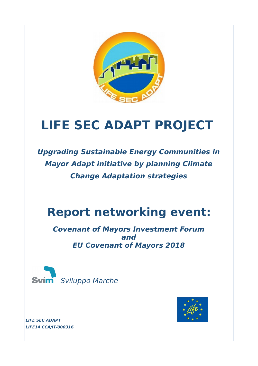

# **LIFE SEC ADAPT PROJECT**

**Upgrading Sustainable Energy Communities in Mayor Adapt initiative by planning Climate Change Adaptation strategies**

# **Report networking event:**

**Covenant of Mayors Investment Forum and EU Covenant of Mayors 2018**





**LIFE SEC ADAPT LIFE14 CCA/IT/000316**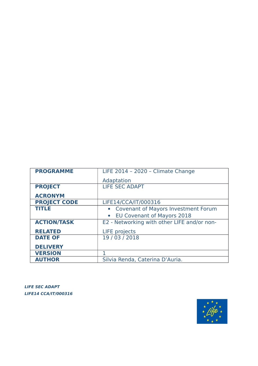| <b>PROGRAMME</b>    | LIFE 2014 - 2020 - Climate Change              |
|---------------------|------------------------------------------------|
|                     | Adaptation                                     |
| <b>PROJECT</b>      | <b>LIFE SEC ADAPT</b>                          |
| <b>ACRONYM</b>      |                                                |
| <b>PROJECT CODE</b> | LIFE14/CCA/IT/000316                           |
| <b>TITLE</b>        | • Covenant of Mayors Investment Forum          |
|                     | <b>EU Covenant of Mayors 2018</b><br>$\bullet$ |
| <b>ACTION/TASK</b>  | E2 - Networking with other LIFE and/or non-    |
| <b>RELATED</b>      | <b>LIFE</b> projects                           |
| <b>DATE OF</b>      | 19 / 03 / 2018                                 |
| <b>DELIVERY</b>     |                                                |
| <b>VERSION</b>      |                                                |
| <b>AUTHOR</b>       | Silvia Renda, Caterina D'Auria.                |

**LIFE SEC ADAPT LIFE14 CCA/IT/000316** 

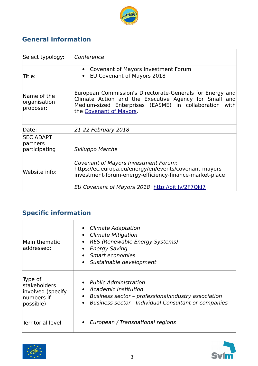

## **General information**

| Select typology:                              | Conference                                                                                                                                                                                                     |
|-----------------------------------------------|----------------------------------------------------------------------------------------------------------------------------------------------------------------------------------------------------------------|
| Title:                                        | Covenant of Mayors Investment Forum<br>EU Covenant of Mayors 2018<br>$\bullet$                                                                                                                                 |
| Name of the<br>organisation<br>proposer:      | European Commission's Directorate-Generals for Energy and<br>Climate Action and the Executive Agency for Small and<br>Medium-sized Enterprises (EASME) in collaboration with<br>the Covenant of Mayors.        |
| Date:                                         | 21-22 February 2018                                                                                                                                                                                            |
| <b>SEC ADAPT</b><br>partners<br>participating | Sviluppo Marche                                                                                                                                                                                                |
| Website info:                                 | Covenant of Mayors Investment Forum:<br>https://ec.europa.eu/energy/en/events/covenant-mayors-<br>investment-forum-energy-efficiency-finance-market-place<br>EU Covenant of Mayors 2018: http://bit.ly/2F70kl7 |

# **Specific information**

| Main thematic<br>addressed:                                             | • Climate Adaptation<br>• Climate Mitigation<br>• RES (Renewable Energy Systems)<br>• Energy Saving<br>• Smart economies<br>• Sustainable development                |
|-------------------------------------------------------------------------|----------------------------------------------------------------------------------------------------------------------------------------------------------------------|
| Type of<br>stakeholders<br>involved (specify<br>numbers if<br>possible) | • Public Administration<br>• Academic Institution<br>• Business sector - professional/industry association<br>• Business sector - Individual Consultant or companies |
| <b>Territorial level</b>                                                | • European / Transnational regions                                                                                                                                   |



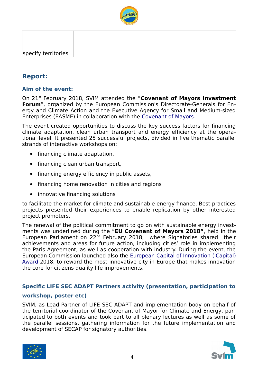

### **Report:**

#### **Aim of the event:**

On 21st February 2018, SVIM attended the "**Covenant of Mayors Investment Forum**", organized by the European Commission's Directorate-Generals for Energy and Climate Action and the Executive Agency for Small and Medium-sized Enterprises (EASME) in collaboration with the [Covenant of Mayors.](http://www.covenantofmayors.eu/index_en.html)

The event created opportunities to discuss the key success factors for financing climate adaptation, clean urban transport and energy efficiency at the operational level. It presented 25 successful projects, divided in five thematic parallel strands of interactive workshops on:

- financing climate adaptation,
- financing clean urban transport,
- financing energy efficiency in public assets,
- financing home renovation in cities and regions
- innovative financing solutions

to facilitate the market for climate and sustainable energy finance. Best practices projects presented their experiences to enable replication by other interested project promoters.

The renewal of the political commitment to go on with sustainable energy investments was underlined during the "**EU Covenant of Mayors 2018"**, held in the European Parliament on  $22^{nd}$  February 2018, where Signatories shared their achievements and areas for future action, including cities' role in implementing the Paris Agreement, as well as cooperation with industry. During the event, the European Commission launched also the [European Capital of Innovation \(iCapital\)](https://ec.europa.eu/research/prizes/icapital/index.cfm) [Award](https://ec.europa.eu/research/prizes/icapital/index.cfm) 2018, to reward the most innovative city in Europe that makes innovation the core for citizens quality life improvements.

#### **Specific LIFE SEC ADAPT Partners activity (presentation, participation to**

#### **workshop, poster etc)**

SVIM, as Lead Partner of LIFE SEC ADAPT and implementation body on behalf of the territorial coordinator of the Covenant of Mayor for Climate and Energy, participated to both events and took part to all plenary lectures as well as some of the parallel sessions, gathering information for the future implementation and development of SECAP for signatory authorities.



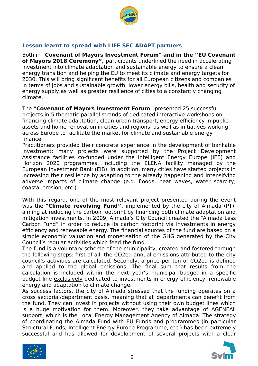

#### **Lesson learnt to spread with LIFE SEC ADAPT partners**

Both in "**Covenant of Mayors Investment Forum**" **and in the "EU Covenant of Mayors 2018 Ceremony",** participants underlined the need in accelerating investment into climate adaptation and sustainable energy to ensure a clean energy transition and helping the EU to meet its climate and energy targets for 2030. This will bring significant benefits for all European citizens and companies in terms of jobs and sustainable growth, lower energy bills, health and security of energy supply as well as greater resilience of cities to a constantly changing climate.

The "**Covenant of Mayors Investment Forum**" presented 25 successful projects in 5 thematic parallel strands of dedicated interactive workshops on financing climate adaptation, clean urban transport, energy efficiency in public assets and home renovation in cities and regions, as well as initiatives working across Europe to facilitate the market for climate and sustainable energy finance.

Practitioners provided their concrete experience in the development of bankable investment; many projects were supported by the Project Development Assistance facilities co-funded under the Intelligent Energy Europe (IEE) and Horizon 2020 programmes, including the ELENA facility managed by the European Investment Bank (EIB). In addition, many cities have started projects in increasing their resilience by adapting to the already happening and intensifying adverse impacts of climate change (e.g. floods, heat waves, water scarcity, coastal erosion, etc.).

With this regard, one of the most relevant project presented during the event was the "**Climate revolving Fund",** implemented by the city of Almada (PT), aiming at reducing the carbon footprint by financing both climate adaptation and mitigation investments. In 2009, Almada's City Council created the "Almada Less Carbon Fund" in order to reduce its carbon footprint via investments in energy efficiency and renewable energy. The financial sources of the fund are based on a simple economic valuation and monetisation of the GHG generated by the City Council's regular activities which feed the fund.

The fund is a voluntary scheme of the municipality, created and fostered through the following steps: first of all, the CO2eq annual emissions attributed to the city council's activities are calculated. Secondly, a price per ton of CO2eq is defined and applied to the global emissions. The final sum that results from the calculation is included within the next year's municipal budget in a specific budget line exclusively dedicated to investments in energy efficiency, renewable energy and adaptation to climate change.

As success factors, the city of Almada stressed that the funding operates on a cross sectorial/department basis, meaning that all departments can benefit from the fund. They can invest in projects without using their own budget lines which is a huge motivation for them. Moreover, they take advantage of AGENEAL support, which is the Local Energy Management Agency of Almada. The strategy of coordinating the Almada Fund with EU Funds and programmes (in particular Structural Funds, Intelligent Energy Europe Programme, etc.) has been extremely successful and has allowed for development of several projects with a clear



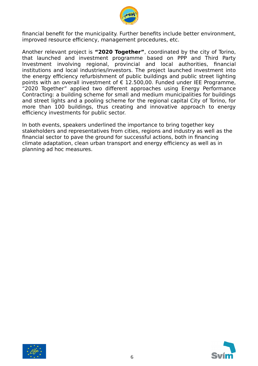

financial benefit for the municipality. Further benefits include better environment, improved resource efficiency, management procedures, etc.

Another relevant project is **"2020 Together"**, coordinated by the city of Torino, that launched and investment programme based on PPP and Third Party Investment involving regional, provincial and local authorities, financial institutions and local industries/investors. The project launched investment into the energy efficiency refurbishment of public buildings and public street lighting points with an overall investment of  $\epsilon$  12.500,00. Funded under IEE Programme, "2020 Together" applied two different approaches using Energy Performance Contracting: a building scheme for small and medium municipalities for buildings and street lights and a pooling scheme for the regional capital City of Torino, for more than 100 buildings, thus creating and innovative approach to energy efficiency investments for public sector.

In both events, speakers underlined the importance to bring together key stakeholders and representatives from cities, regions and industry as well as the financial sector to pave the ground for successful actions, both in financing climate adaptation, clean urban transport and energy efficiency as well as in planning ad hoc measures.